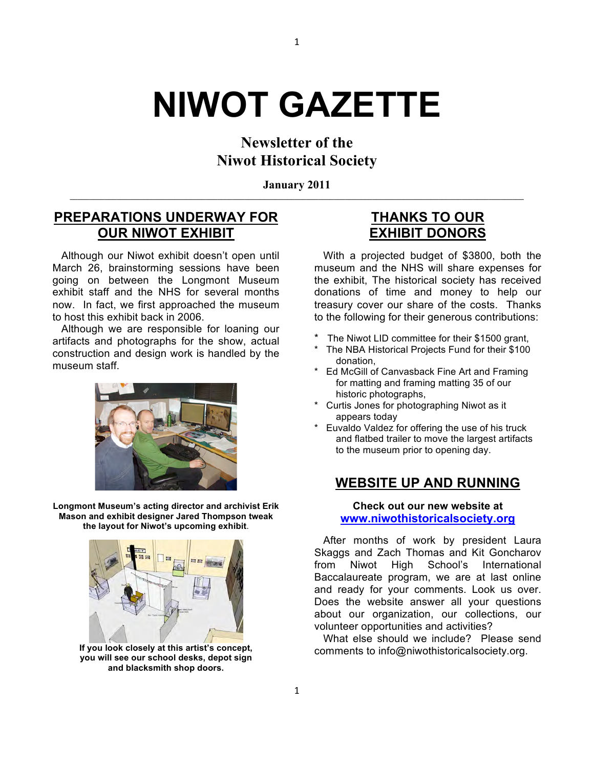# **NIWOT GAZETTE**

## **Newsletter of the Niwot Historical Society**

**January 2011 \_\_\_\_\_\_\_\_\_\_\_\_\_\_\_\_\_\_\_\_\_\_\_\_\_\_\_\_\_\_\_\_\_\_\_\_\_\_\_\_\_\_\_\_\_\_\_\_\_\_\_\_\_\_\_\_\_\_\_\_\_\_\_\_\_\_\_\_\_\_\_\_\_\_\_\_\_\_\_\_\_\_\_\_\_\_\_\_\_\_\_\_\_\_\_\_\_\_\_\_\_\_\_\_\_\_\_\_\_\_\_\_\_\_\_\_\_**

## **PREPARATIONS UNDERWAY FOR OUR NIWOT EXHIBIT**

 Although our Niwot exhibit doesn't open until March 26, brainstorming sessions have been going on between the Longmont Museum exhibit staff and the NHS for several months now. In fact, we first approached the museum to host this exhibit back in 2006.

 Although we are responsible for loaning our artifacts and photographs for the show, actual construction and design work is handled by the museum staff.



**Longmont Museum's acting director and archivist Erik Mason and exhibit designer Jared Thompson tweak the layout for Niwot's upcoming exhibit**.



**If you look closely at this artist's concept, you will see our school desks, depot sign and blacksmith shop doors.**

## **THANKS TO OUR EXHIBIT DONORS**

 With a projected budget of \$3800, both the museum and the NHS will share expenses for the exhibit, The historical society has received donations of time and money to help our treasury cover our share of the costs. Thanks to the following for their generous contributions:

- The Niwot LID committee for their \$1500 grant.
- The NBA Historical Projects Fund for their \$100 donation,
- Ed McGill of Canvasback Fine Art and Framing for matting and framing matting 35 of our historic photographs,
- Curtis Jones for photographing Niwot as it appears today
- Euvaldo Valdez for offering the use of his truck and flatbed trailer to move the largest artifacts to the museum prior to opening day.

### **WEBSITE UP AND RUNNING**

#### **Check out our new website at www.niwothistoricalsociety.org**

 After months of work by president Laura Skaggs and Zach Thomas and Kit Goncharov from Niwot High School's International Baccalaureate program, we are at last online and ready for your comments. Look us over. Does the website answer all your questions about our organization, our collections, our volunteer opportunities and activities?

 What else should we include? Please send comments to info@niwothistoricalsociety.org.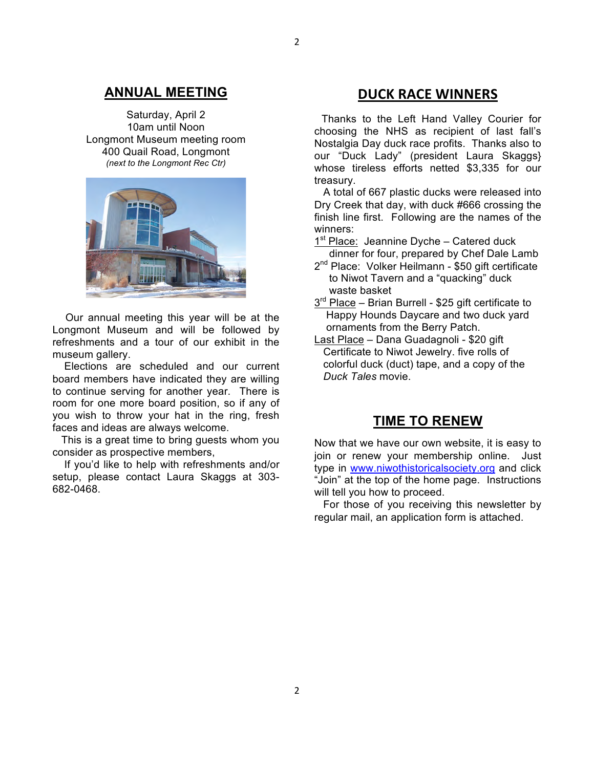#### **ANNUAL MEETING**

Saturday, April 2 10am until Noon Longmont Museum meeting room 400 Quail Road, Longmont *(next to the Longmont Rec Ctr)*



Our annual meeting this year will be at the Longmont Museum and will be followed by refreshments and a tour of our exhibit in the museum gallery.

 Elections are scheduled and our current board members have indicated they are willing to continue serving for another year. There is room for one more board position, so if any of you wish to throw your hat in the ring, fresh faces and ideas are always welcome.

 This is a great time to bring guests whom you consider as prospective members,

 If you'd like to help with refreshments and/or setup, please contact Laura Skaggs at 303- 682-0468.

#### **DUCK!RACE!WINNERS**

**!!** Thanks to the Left Hand Valley Courier for choosing the NHS as recipient of last fall's Nostalgia Day duck race profits. Thanks also to our "Duck Lady" (president Laura Skaggs} whose tireless efforts netted \$3,335 for our treasury.

 A total of 667 plastic ducks were released into Dry Creek that day, with duck #666 crossing the finish line first. Following are the names of the winners:

- $1<sup>st</sup>$  Place: Jeannine Dyche Catered duck dinner for four, prepared by Chef Dale Lamb
- 2<sup>nd</sup> Place: Volker Heilmann \$50 gift certificate to Niwot Tavern and a "quacking" duck waste basket
- $3<sup>rd</sup>$  Place Brian Burrell \$25 gift certificate to Happy Hounds Daycare and two duck yard ornaments from the Berry Patch.
- Last Place Dana Guadagnoli \$20 gift Certificate to Niwot Jewelry. five rolls of colorful duck (duct) tape, and a copy of the *Duck Tales* movie.

#### **TIME TO RENEW**

Now that we have our own website, it is easy to join or renew your membership online. Just type in www.niwothistoricalsociety.org and click "Join" at the top of the home page. Instructions will tell you how to proceed.

 For those of you receiving this newsletter by regular mail, an application form is attached.